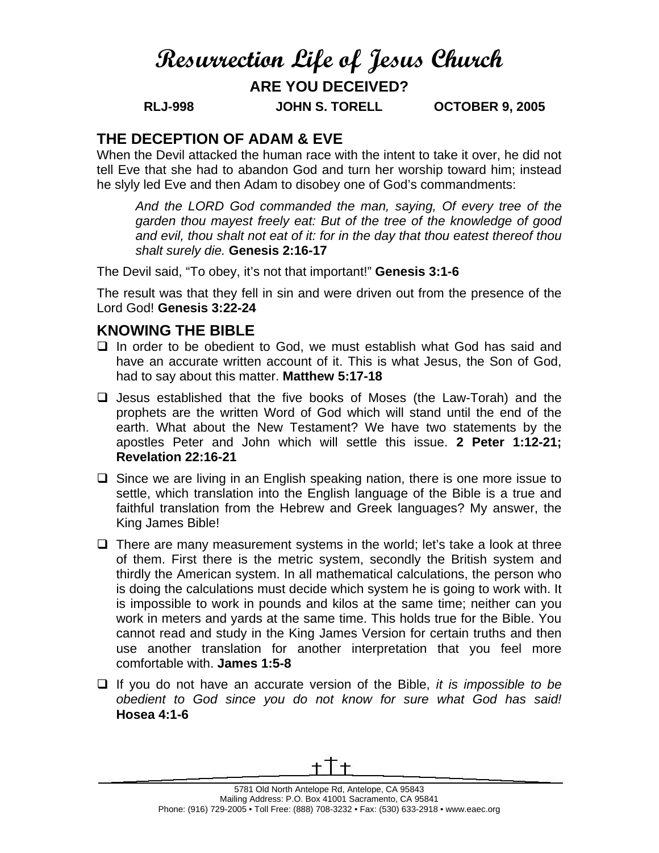# **Resurrection Life of Jesus Church**

# **ARE YOU DECEIVED?**

**RLJ-998 JOHN S. TORELL OCTOBER 9, 2005** 

## **THE DECEPTION OF ADAM & EVE**

When the Devil attacked the human race with the intent to take it over, he did not tell Eve that she had to abandon God and turn her worship toward him; instead he slyly led Eve and then Adam to disobey one of God's commandments:

*And the LORD God commanded the man, saying, Of every tree of the garden thou mayest freely eat: But of the tree of the knowledge of good and evil, thou shalt not eat of it: for in the day that thou eatest thereof thou shalt surely die.* **Genesis 2:16-17**

The Devil said, "To obey, it's not that important!" **Genesis 3:1-6**

The result was that they fell in sin and were driven out from the presence of the Lord God! **Genesis 3:22-24** 

### **KNOWING THE BIBLE**

- $\Box$  In order to be obedient to God, we must establish what God has said and have an accurate written account of it. This is what Jesus, the Son of God, had to say about this matter. **Matthew 5:17-18**
- $\Box$  Jesus established that the five books of Moses (the Law-Torah) and the prophets are the written Word of God which will stand until the end of the earth. What about the New Testament? We have two statements by the apostles Peter and John which will settle this issue. **2 Peter 1:12-21; Revelation 22:16-21**
- $\Box$  Since we are living in an English speaking nation, there is one more issue to settle, which translation into the English language of the Bible is a true and faithful translation from the Hebrew and Greek languages? My answer, the King James Bible!
- $\Box$  There are many measurement systems in the world; let's take a look at three of them. First there is the metric system, secondly the British system and thirdly the American system. In all mathematical calculations, the person who is doing the calculations must decide which system he is going to work with. It is impossible to work in pounds and kilos at the same time; neither can you work in meters and yards at the same time. This holds true for the Bible. You cannot read and study in the King James Version for certain truths and then use another translation for another interpretation that you feel more comfortable with. **James 1:5-8**
- If you do not have an accurate version of the Bible, *it is impossible to be obedient to God since you do not know for sure what God has said!* **Hosea 4:1-6**